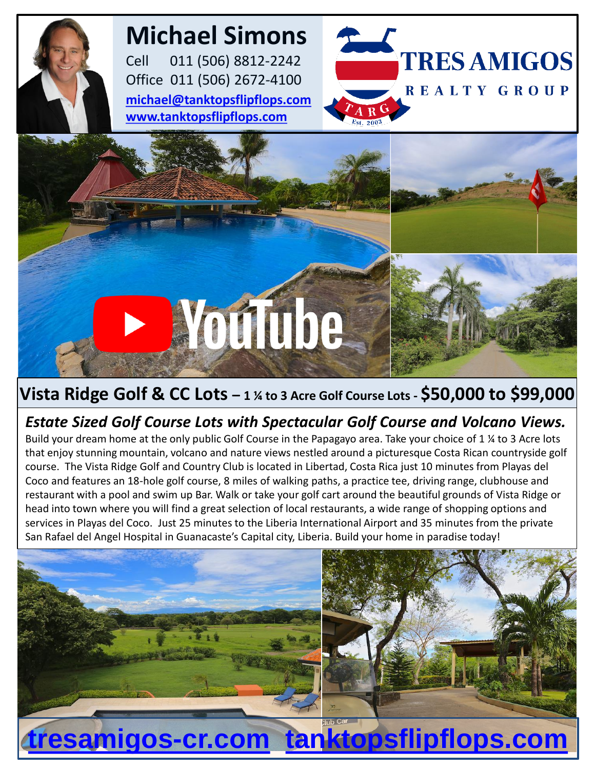## **Michael Simons**

Cell 011 (506) 8812-2242 Office 011 (506) 2672-4100 **[michael@tanktopsflipflops.com](mailto:michael@tanktopsflipflops.com) [www.tanktopsflipflops.com](http://www.tanktopsflipflops.com/)**





## **Vista Ridge Golf & CC Lots – 1 ¼ to 3 Acre Golf Course Lots - \$50,000 to \$99,000**

## *Estate Sized Golf Course Lots with Spectacular Golf Course and Volcano Views.*

Build your dream home at the only public Golf Course in the Papagayo area. Take your choice of 1 ¼ to 3 Acre lots that enjoy stunning mountain, volcano and nature views nestled around a picturesque Costa Rican countryside golf course. The Vista Ridge Golf and Country Club is located in Libertad, Costa Rica just 10 minutes from Playas del Coco and features an 18-hole golf course, 8 miles of walking paths, a practice tee, driving range, clubhouse and restaurant with a pool and swim up Bar. Walk or take your golf cart around the beautiful grounds of Vista Ridge or head into town where you will find a great selection of local restaurants, a wide range of shopping options and services in Playas del Coco. Just 25 minutes to the Liberia International Airport and 35 minutes from the private San Rafael del Angel Hospital in Guanacaste's Capital city, Liberia. Build your home in paradise today!